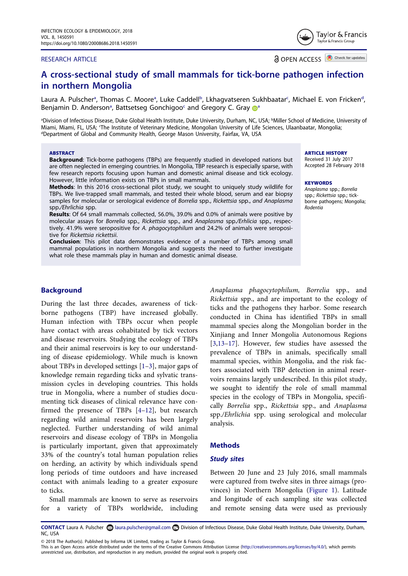#### RESEARCH ARTICLE

**a** OPEN ACCESS **D** Check for updates

Taylor & Francis Tavlor & Francis Group

# A cross-sectional study of small mammals for tick-borne pathogen infection in northern Mongolia

Lau[ra](#page-0-0) A. Pulscher<sup>[a](#page-0-0)</sup>, Thomas C. Moore<sup>a</sup>, Luke Caddell<sup>b</sup>, Lkhagvatseren Sukhbaatar<sup>c</sup>, Michael E. von Fricken<sup>d</sup>, Benjamin D. Anderson<sup>a</sup>, Battsetseg Gonchigoo<sup>c</sup> and Gregory C. Gray <sup>[na](#page-0-0)</sup>

<span id="page-0-2"></span><span id="page-0-1"></span><span id="page-0-0"></span>ªDivision of Infectious Disease, Duke Global Health Institute, Duke University, Durham, NC, USA; <sup>b</sup>Miller School of Medicine, University of Miami, Miami, FL, USA; 'The Institute of Veterinary Medicine, Mongolian University of Life Sciences, Ulaanbaatar, Mongolia; d Department of Global and Community Health, George Mason University, Fairfax, VA, USA

#### ABSTRACT

**Background:** Tick-borne pathogens (TBPs) are frequently studied in developed nations but are often neglected in emerging countries. In Mongolia, TBP research is especially sparse, with few research reports focusing upon human and domestic animal disease and tick ecology. However, little information exists on TBPs in small mammals.

#### ARTICLE HISTORY

Received 31 July 2017 Accepted 28 February 2018

#### **KEYWORDS**

Anaplasma spp.; Borrelia spp.; Rickettsia spp.; tickborne pathogens; Mongolia; Rodentia

Methods: In this 2016 cross-sectional pilot study, we sought to uniquely study wildlife for TBPs. We live-trapped small mammals, and tested their whole blood, serum and ear biopsy samples for molecular or serological evidence of Borrelia spp., Rickettsia spp., and Anaplasma spp./Ehrlichia spp.

Results: Of 64 small mammals collected, 56.0%, 39.0% and 0.0% of animals were positive by molecular assays for Borrelia spp., Rickettsia spp., and Anaplasma spp./Erhlicia spp., respectively. 41.9% were seropositive for A. phagocytophilum and 24.2% of animals were seropositive for Rickettsia rickettsii.

**Conclusion:** This pilot data demonstrates evidence of a number of TBPs among small mammal populations in northern Mongolia and suggests the need to further investigate what role these mammals play in human and domestic animal disease.

## **Background**

<span id="page-0-3"></span>During the last three decades, awareness of tickborne pathogens (TBP) have increased globally. Human infection with TBPs occur when people have contact with areas cohabitated by tick vectors and disease reservoirs. Studying the ecology of TBPs and their animal reservoirs is key to our understanding of disease epidemiology. While much is known about TBPs in developed settings [[1](#page-5-0)–[3](#page-5-1)], major gaps of knowledge remain regarding ticks and sylvatic transmission cycles in developing countries. This holds true in Mongolia, where a number of studies documenting tick diseases of clinical relevance have confirmed the presence of TBPs [\[4](#page-5-2)–[12\]](#page-5-3), but research regarding wild animal reservoirs has been largely neglected. Further understanding of wild animal reservoirs and disease ecology of TBPs in Mongolia is particularly important, given that approximately 33% of the country's total human population relies on herding, an activity by which individuals spend long periods of time outdoors and have increased contact with animals leading to a greater exposure to ticks.

<span id="page-0-5"></span>Small mammals are known to serve as reservoirs for a variety of TBPs worldwide, including <span id="page-0-4"></span>Anaplasma phagocytophilum, Borrelia spp., and Rickettsia spp., and are important to the ecology of ticks and the pathogens they harbor. Some research conducted in China has identified TBPs in small mammal species along the Mongolian border in the Xinjiang and Inner Mongolia Autonomous Regions [\[3](#page-5-1),[13](#page-6-0)–[17](#page-6-1)]. However, few studies have assessed the prevalence of TBPs in animals, specifically small mammal species, within Mongolia, and the risk factors associated with TBP detection in animal reservoirs remains largely undescribed. In this pilot study, we sought to identify the role of small mammal species in the ecology of TBPs in Mongolia, specifically Borrelia spp., Rickettsia spp., and Anaplasma spp./Ehrlichia spp. using serological and molecular analysis.

### **Methods**

### Study sites

Between 20 June and 23 July 2016, small mammals were captured from twelve sites in three aimags (provinces) in Northern Mongolia [\(Figure 1\)](#page-1-0). Latitude and longitude of each sampling site was collected and remote sensing data were used as previously

CONTACT Laura A. Pulscher <sup>2</sup> laura.pulscher@gmail.com Division of Infectious Disease, Duke Global Health Institute, Duke University, Durham, NC, USA

© 2018 The Author(s). Published by Informa UK Limited, trading as Taylor & Francis Group.

This is an Open Access article distributed under the terms of the Creative Commons Attribution License (http://creativecommons.org/licenses/by/4.0/), which permits unrestricted use, distribution, and reproduction in any medium, provided the original work is properly cited.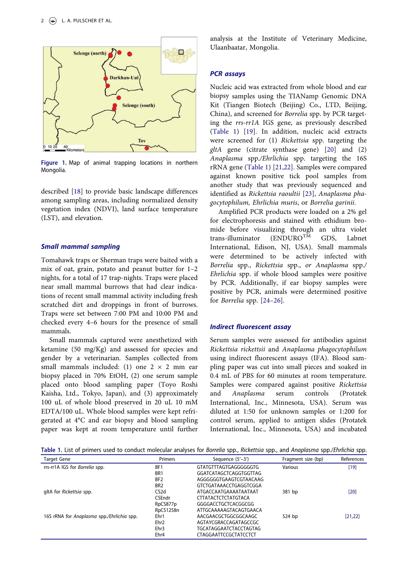

<span id="page-1-0"></span>Figure 1. Map of animal trapping locations in northern Mongolia.

<span id="page-1-2"></span>described [[18\]](#page-6-2) to provide basic landscape differences among sampling areas, including normalized density vegetation index (NDVI), land surface temperature (LST), and elevation.

#### Small mammal sampling

Tomahawk traps or Sherman traps were baited with a mix of oat, grain, potato and peanut butter for 1–2 nights, for a total of 17 trap-nights. Traps were placed near small mammal burrows that had clear indications of recent small mammal activity including fresh scratched dirt and droppings in front of burrows. Traps were set between 7:00 PM and 10:00 PM and checked every 4–6 hours for the presence of small mammals.

Small mammals captured were anesthetized with ketamine (50 mg/Kg) and assessed for species and gender by a veterinarian. Samples collected from small mammals included: (1) one  $2 \times 2$  mm ear biopsy placed in 70% EtOH, (2) one serum sample placed onto blood sampling paper (Toyo Roshi Kaisha, Ltd., Tokyo, Japan), and (3) approximately 100 uL of whole blood preserved in 20 uL 10 mM EDTA/100 uL. Whole blood samples were kept refrigerated at 4°C and ear biopsy and blood sampling paper was kept at room temperature until further

analysis at the Institute of Veterinary Medicine, Ulaanbaatar, Mongolia.

### PCR assays

Nucleic acid was extracted from whole blood and ear biopsy samples using the TIANamp Genomic DNA Kit (Tiangen Biotech (Beijing) Co., LTD, Beijing, China), and screened for Borrelia spp. by PCR targeting the rrs-rr1A IGS gene, as previously described [\(Table 1](#page-1-1)) [\[19](#page-6-3)]. In addition, nucleic acid extracts were screened for (1) Rickettsia spp. targeting the gltA gene (citrate synthase gene) [\[20](#page-6-4)] and (2) Anaplasma spp./Ehrlichia spp. targeting the 16S rRNA gene ([Table 1\)](#page-1-1) [[21](#page-6-5)[,22](#page-6-6)]. Samples were compared against known positive tick pool samples from another study that was previously sequenced and identified as Rickettsia raoultii [\[23](#page-6-7)], Anaplasma phagocytophilum, Ehrlichia muris, or Borrelia garinii.

<span id="page-1-6"></span>Amplified PCR products were loaded on a 2% gel for electrophoresis and stained with ethidium bromide before visualizing through an ultra violet trans-illuminator  $(ENDURO^{TM}$  GDS, Labnet International, Edison, NJ, USA). Small mammals were determined to be actively infected with Borrelia spp., Rickettsia spp., or Anaplasma spp./ Ehrlichia spp. if whole blood samples were positive by PCR. Additionally, if ear biopsy samples were positive by PCR, animals were determined positive for Borrelia spp. [[24](#page-6-8)–[26](#page-6-9)].

### <span id="page-1-7"></span>Indirect fluorescent assay

<span id="page-1-5"></span><span id="page-1-4"></span><span id="page-1-3"></span>Serum samples were assessed for antibodies against Rickettsia rickettsii and Anaplasma phagocytophilum using indirect fluorescent assays (IFA). Blood sampling paper was cut into small pieces and soaked in 0.4 mL of PBS for 60 minutes at room temperature. Samples were compared against positive Rickettsia and Anaplasma serum controls (Protatek International, Inc., Minnesota, USA). Serum was diluted at 1:50 for unknown samples or 1:200 for control serum, applied to antigen slides (Protatek International, Inc., Minnesota, USA) and incubated

<span id="page-1-1"></span>Table 1. List of primers used to conduct molecular analyses for Borrelia spp., Rickettsia spp., and Anaplasma spp./Ehrlichia spp.

| Target Gene                                | Primers           | Sequence (5'-3')             | Fragment size (bp) | References |
|--------------------------------------------|-------------------|------------------------------|--------------------|------------|
| rrs-rr1A IGS for Borrelia spp.             | BF1               | GTATGTTTAGTGAGGGGGGTG        | Various            | [19]       |
|                                            | BR <sub>1</sub>   | GGATCATAGCTCAGGTGGTTAG       |                    |            |
|                                            | BF <sub>2</sub>   | AGGGGGGTGAAGTCGTAACAAG       |                    |            |
|                                            | BR <sub>2</sub>   | GTCTGATAAACCTGAGGTCGGA       |                    |            |
| gltA for Rickettsia spp.                   | CS <sub>2</sub> d | ATGACCAATGAAAATAATAAT        | 381 bp             | [20]       |
|                                            | CSEndr            | <b>CITATACTCTCTATGTACA</b>   |                    |            |
|                                            | RpCS877p          | GGGGACCTGCTCACGGCGG          |                    |            |
|                                            | RpCS1258n         | ATTGCAAAAAGTACAGTGAACA       |                    |            |
| 16S rRNA for Anaplasma spp./Ehrlichia spp. | Ehr1              | AACGAACGCTGGCGGCAAGC         | 524 bp             | [21, 22]   |
|                                            | Ehr <sub>2</sub>  | AGTAYCGRACCAGATAGCCGC        |                    |            |
|                                            | Ehr <sub>3</sub>  | TGCATAGGAATCTACCTAGTAG       |                    |            |
|                                            | Ehr4              | <b>CTAGGAATTCCGCTATCCTCT</b> |                    |            |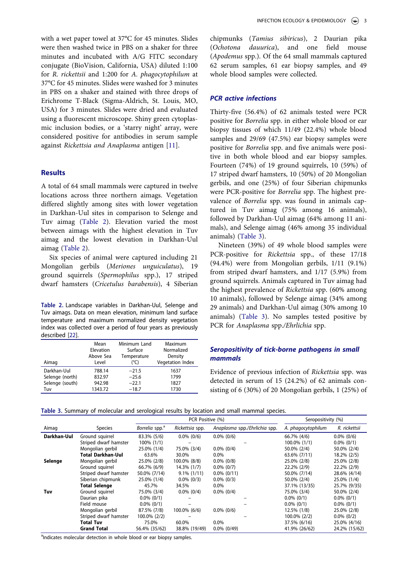with a wet paper towel at 37°C for 45 minutes. Slides were then washed twice in PBS on a shaker for three minutes and incubated with A/G FITC secondary conjugate (BioVision, California, USA) diluted 1:100 for R. rickettsii and 1:200 for A. phagocytophilum at 37°C for 45 minutes. Slides were washed for 3 minutes in PBS on a shaker and stained with three drops of Erichrome T-Black (Sigma-Aldrich, St. Louis, MO, USA) for 3 minutes. Slides were dried and evaluated using a fluorescent microscope. Shiny green cytoplasmic inclusion bodies, or a 'starry night' array, were considered positive for antibodies in serum sample against Rickettsia and Anaplasma antigen [\[11](#page-5-4)].

### **Results**

A total of 64 small mammals were captured in twelve locations across three northern aimags. Vegetation differed slightly among sites with lower vegetation in Darkhan-Uul sites in comparison to Selenge and Tuv aimag ([Table 2](#page-2-0)). Elevation varied the most between aimags with the highest elevation in Tuv aimag and the lowest elevation in Darkhan-Uul aimag ([Table 2\)](#page-2-0).

Six species of animal were captured including 21 Mongolian gerbils (Meriones unguiculatus), 19 ground squirrels (Spermophilus spp.), 17 striped dwarf hamsters (Cricetulus barabensis), 4 Siberian

<span id="page-2-0"></span>Table 2. Landscape variables in Darkhan-Uul, Selenge and Tuv aimags. Data on mean elevation, minimum land surface temperature and maximum normalized density vegetation index was collected over a period of four years as previously described [\[22](#page-6-6)].

|                 | Mean<br>Elevation | Minimum Land<br>Surface | Maximum<br>Normalized |
|-----------------|-------------------|-------------------------|-----------------------|
|                 | Above Sea         | Temperature             | Density               |
| Aimag           | Level             | (°C)                    | Vegetation Index      |
| Darkhan-Uul     | 788.14            | $-21.5$                 | 1637                  |
| Selenge (north) | 832.97            | $-25.6$                 | 1799                  |
| Selenge (south) | 942.98            | $-22.1$                 | 1827                  |
| Tuv             | 1343.72           | $-18.7$                 | 1730                  |

chipmunks (Tamius sibiricus), 2 Daurian pika (Ochotona dauurica), and one field mouse (Apodemus spp.). Of the 64 small mammals captured 62 serum samples, 61 ear biopsy samples, and 49 whole blood samples were collected.

# PCR active infections

Thirty-five (56.4%) of 62 animals tested were PCR positive for Borrelia spp. in either whole blood or ear biopsy tissues of which 11/49 (22.4%) whole blood samples and 29/69 (47.5%) ear biopsy samples were positive for Borrelia spp. and five animals were positive in both whole blood and ear biopsy samples. Fourteen (74%) of 19 ground squirrels, 10 (59%) of 17 striped dwarf hamsters, 10 (50%) of 20 Mongolian gerbils, and one (25%) of four Siberian chipmunks were PCR-positive for Borrelia spp. The highest prevalence of Borrelia spp. was found in animals captured in Tuv aimag (75% among 16 animals), followed by Darkhan-Uul aimag (64% among 11 animals), and Selenge aimag (46% among 35 individual animals) [\(Table 3](#page-2-1)).

Nineteen (39%) of 49 whole blood samples were PCR-positive for Rickettsia spp., of these 17/18 (94.4%) were from Mongolian gerbils, 1/11 (9.1%) from striped dwarf hamsters, and 1/17 (5.9%) from ground squirrels. Animals captured in Tuv aimag had the highest prevalence of Rickettsia spp. (60% among 10 animals), followed by Selenge aimag (34% among 29 animals) and Darkhan-Uul aimag (30% among 10 animals) [\(Table 3\)](#page-2-1). No samples tested positive by PCR for Anaplasma spp./Ehrlichia spp.

# Seropositivity of tick-borne pathogens in small mammals

Evidence of previous infection of Rickettsia spp. was detected in serum of 15 (24.2%) of 62 animals consisting of 6 (30%) of 20 Mongolian gerbils, 1 (25%) of

<span id="page-2-1"></span>

| Table 3. Summary of molecular and serological results by location and small mammal species. |                       |  |  |  |  |
|---------------------------------------------------------------------------------------------|-----------------------|--|--|--|--|
|                                                                                             | $DCD$ $D = 1$ $(0/1)$ |  |  |  |  |

|             |                       | PCR Positive (%)           |                 |                               | Seropositivity (%) |               |
|-------------|-----------------------|----------------------------|-----------------|-------------------------------|--------------------|---------------|
| Aimag       | <b>Species</b>        | Borrelia spp. <sup>a</sup> | Rickettsia spp. | Anaplasma spp./Ehrlichia spp. | A. phagocytophilum | R. rickettsii |
| Darkhan-Uul | Ground squirrel       | 83.3% (5/6)                | $0.0\%$ (0/6)   | $0.0\%$ (0/6)                 | 66.7% (4/6)        | $0.0\%$ (0/6) |
|             | Striped dwarf hamster | 100% (1/1)                 |                 |                               | 100.0% (1/1)       | $0.0\%$ (0/1) |
|             | Mongolian gerbil      | 25.0% (1/4)                | 75.0% (3/4)     | $0.0\%$ (0/4)                 | 50.0% (2/4)        | 50.0% (2/4)   |
|             | Total Darkhan-Uul     | 63.6%                      | 30.0%           | $0.0\%$                       | 63.6% (7/11)       | 18.2% (2/5)   |
| Selenge     | Mongolian gerbil      | 25.0% (2/8)                | 100.0% (8/8)    | $0.0\%$ (0/8)                 | 25.0% (2/8)        | 25.0% (2/8)   |
|             | Ground squirrel       | 66.7% (6/9)                | 14.3% (1/7)     | $0.0\%$ (0/7)                 | 22.2% (2/9)        | 22.2% (2/9)   |
|             | Striped dwarf hamster | 50.0% (7/14)               | $9.1\%$ (1/11)  | $0.0\%$ (0/11)                | 50.0% (7/14)       | 28.6% (4/14)  |
|             | Siberian chipmunk     | 25.0% (1/4)                | $0.0\%$ (0/3)   | $0.0\%$ (0/3)                 | 50.0% (2/4)        | 25.0% (1/4)   |
|             | <b>Total Selenge</b>  | 45.7%                      | 34.5%           | $0.0\%$                       | 37.1% (13/35)      | 25.7% (9/35)  |
| Tuv         | Ground squirrel       | 75.0% (3/4)                | $0.0\%$ (0/4)   | $0.0\%$ (0/4)                 | 75.0% (3/4)        | 50.0% (2/4)   |
|             | Daurian pika          | $0.0\%$ (0/1)              |                 |                               | $0.0\%$ (0/1)      | $0.0\%$ (0/1) |
|             | Field mouse           | $0.0\%$ (0/1)              |                 |                               | $0.0\%$ (0/1)      | $0.0\%$ (0/1) |
|             | Mongolian gerbil      | 87.5% (7/8)                | 100.0% (6/6)    | $0.0\%$ (0/6)                 | 12.5% (1/8)        | 25.0% (2/8)   |
|             | Striped dwarf hamster | 100.0% (2/2)               |                 |                               | 100.0% (2/2)       | $0.0\%$ (0/2) |
|             | <b>Total Tuv</b>      | 75.0%                      | 60.0%           | $0.0\%$                       | 37.5% (6/16)       | 25.0% (4/16)  |
|             | <b>Grand Total</b>    | 56.4% (35/62)              | 38.8% (19/49)   | $0.0\%$ (0/49)                | 41.9% (26/62)      | 24.2% (15/62) |

<sup>a</sup>Indicates molecular detection in whole blood or ear biopsy samples.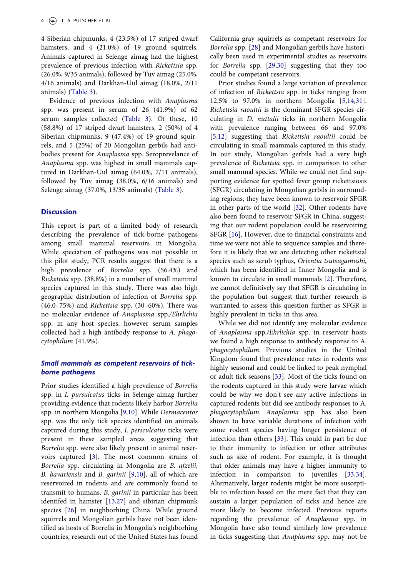4 Siberian chipmunks, 4 (23.5%) of 17 striped dwarf hamsters, and 4 (21.0%) of 19 ground squirrels. Animals captured in Selenge aimag had the highest prevalence of previous infection with Rickettsia spp. (26.0%, 9/35 animals), followed by Tuv aimag (25.0%, 4/16 animals) and Darkhan-Uul aimag (18.0%, 2/11 animals) ([Table 3\)](#page-2-1).

Evidence of previous infection with Anaplasma spp. was present in serum of 26 (41.9%) of 62 serum samples collected [\(Table 3\)](#page-2-1). Of these, 10 (58.8%) of 17 striped dwarf hamsters, 2 (50%) of 4 Siberian chipmunks, 9 (47.4%) of 19 ground squirrels, and 5 (25%) of 20 Mongolian gerbils had antibodies present for Anaplasma spp. Seroprevelance of Anaplasma spp. was highest in small mammals captured in Darkhan-Uul aimag (64.0%, 7/11 animals), followed by Tuv aimag (38.0%, 6/16 animals) and Selenge aimag (37.0%, 13/35 animals) ([Table 3\)](#page-2-1).

### **Discussion**

This report is part of a limited body of research describing the prevalence of tick-borne pathogens among small mammal reservoirs in Mongolia. While speciation of pathogens was not possible in this pilot study, PCR results suggest that there is a high prevalence of Borrelia spp. (56.4%) and Rickettsia spp. (38.8%) in a number of small mammal species captured in this study. There was also high geographic distribution of infection of Borrelia spp. (46.0–75%) and Rickettsia spp. (30–60%). There was no molecular evidence of Anaplasma spp./Ehrlichia spp. in any host species, however serum samples collected had a high antibody response to A. phagocytophilum (41.9%).

### Small mammals as competent reservoirs of tickborne pathogens

<span id="page-3-5"></span><span id="page-3-2"></span>Prior studies identified a high prevalence of Borrelia spp. in I. pursulcatus ticks in Selenge aimag further providing evidence that rodents likely harbor Borrelia spp. in northern Mongolia [\[9](#page-5-5),[10\]](#page-5-6). While Dermacentor spp. was the only tick species identified on animals captured during this study, I. persculcatus ticks were present in these sampled areas suggesting that Borrelia spp. were also likely present in animal reservoirs captured [\[3](#page-5-1)]. The most common strains of Borrelia spp. circulating in Mongolia are B. afzelii, B. bavariensis and B. garinii [\[9](#page-5-5),[10](#page-5-6)], all of which are reservoired in rodents and are commonly found to transmit to humans. B. garinii in particular has been identifed in hamster [[13,](#page-6-0)[27](#page-6-10)] and sibirian chipmunk species [\[26](#page-6-9)] in neighborhing China. While ground squirrels and Mongolian gerbils have not been identified as hosts of Borrelia in Mongolia's neighborhing countries, research out of the United States has found

<span id="page-3-6"></span>California gray squirrels as competant reservoirs for Borrelia spp. [[28\]](#page-6-11) and Mongolian gerbils have historically been used in experimental studies as reservoirs for Borrelia spp. [[29](#page-6-12)[,30](#page-6-13)] suggesting that they too could be competant reservoirs.

<span id="page-3-7"></span><span id="page-3-3"></span><span id="page-3-1"></span>Prior studies found a large variation of prevalence of infection of Rickettsia spp. in ticks ranging from 12.5% to 97.0% in northern Mongolia [\[5](#page-5-7),[14,](#page-6-14)[31](#page-6-15)]. Rickettsia raoultii is the dominant SFGR species circulating in D. nuttalii ticks in northern Mongolia with prevalence ranging between 66 and 97.0% [\[5](#page-5-7),[12\]](#page-5-3) suggesting that Rickettsia raoultii could be circulating in small mammals captured in this study. In our study, Mongolian gerbils had a very high prevalence of Rickettsia spp. in comparison to other small mammal species. While we could not find supporting evidence for spotted fever group rickettsiosis (SFGR) circulating in Mongolian gerbils in surrounding regions, they have been known to reservoir SFGR in other parts of the world [\[32](#page-6-16)]. Other rodents have also been found to reservoir SFGR in China, suggesting that our rodent population could be reservoiring SFGR [[16\]](#page-6-17). However, due to financial constraints and time we were not able to sequence samples and therefore it is likely that we are detecting other rickettsial species such as scrub typhus, Orientia tsutsugamushi, which has been identified in Inner Mongolia and is known to circulate in small mammals [[2\]](#page-5-8). Therefore, we cannot definitively say that SFGR is circulating in the population but suggest that further research is warranted to assess this question further as SFGR is highly prevalent in ticks in this area.

<span id="page-3-9"></span><span id="page-3-8"></span><span id="page-3-4"></span><span id="page-3-0"></span>While we did not identify any molecular evidence of Anaplasma spp./Ehrlichia spp. in reservoir hosts we found a high response to antibody response to A. phagocytophilum. Previous studies in the United Kingdom found that prevalence rates in rodents was highly seasonal and could be linked to peak nymphal or adult tick seasons [[33](#page-6-18)]. Most of the ticks found on the rodents captured in this study were larvae which could be why we don't see any active infections in captured rodents but did see antibody responses to A. phagocytophilum. Anaplasma spp. has also been shown to have variable durations of infection with some rodent species having longer persistence of infection than others [\[33](#page-6-18)]. This could in part be due to their immunity to infection or other attributes such as size of rodent. For example, it is thought that older animals may have a higher immunity to infection in comparison to juveniles [[33,](#page-6-18)[34](#page-6-19)]. Alternatively, larger rodents might be more susceptible to infection based on the mere fact that they can sustain a larger population of ticks and hence are more likely to become infected. Previous reports regarding the prevalence of Anaplasma spp. in Mongolia have also found similarly low prevalence in ticks suggesting that Anaplasma spp. may not be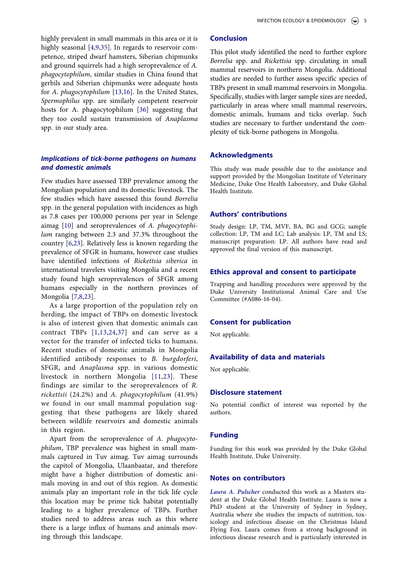<span id="page-4-2"></span>highly prevalent in small mammals in this area or it is highly seasonal [[4](#page-5-2)[,9](#page-5-5),[35\]](#page-6-20). In regards to reservoir competence, striped dwarf hamsters, Siberian chipmunks and ground squirrels had a high seroprevalence of A. phagocytophilum, similar studies in China found that gerbils and Siberian chipmunks were adequate hosts for A. phagocytophilum [\[13,](#page-6-0)[16\]](#page-6-17). In the United States, Spermophilus spp. are similarly competent reservoir hosts for A. phagocytophilum [\[36\]](#page-6-21) suggesting that they too could sustain transmission of Anaplasma spp. in our study area.

### <span id="page-4-3"></span>Implications of tick-borne pathogens on humans and domestic animals

<span id="page-4-0"></span>Few studies have assessed TBP prevalence among the Mongolian population and its domestic livestock. The few studies which have assessed this found Borrelia spp. in the general population with incidences as high as 7.8 cases per 100,000 persons per year in Selenge aimag [[10\]](#page-5-6) and seroprevalences of A. phagocytophilum ranging between 2.3 and 37.3% throughout the country [[6](#page-5-9)[,23](#page-6-7)]. Relatively less is known regarding the prevalence of SFGR in humans, however case studies have identified infections of Rickettsia siberica in international travelers visiting Mongolia and a recent study found high seroprevalences of SFGR among humans especially in the northern provinces of Mongolia [[7](#page-5-10)[,8](#page-5-11),[23\]](#page-6-7).

<span id="page-4-4"></span><span id="page-4-1"></span>As a large proportion of the population rely on herding, the impact of TBPs on domestic livestock is also of interest given that domestic animals can contract TBPs [[1,](#page-5-0)[13,](#page-6-0)[24,](#page-6-8)[37](#page-6-22)] and can serve as a vector for the transfer of infected ticks to humans. Recent studies of domestic animals in Mongolia identified antibody responses to B. burgdorferi, SFGR, and Anaplasma spp. in various domestic livestock in northern Mongolia [[11,](#page-5-4)[23\]](#page-6-7). These findings are similar to the seroprevalences of R. rickettsii (24.2%) and A. phagocytophilum (41.9%) we found in our small mammal population suggesting that these pathogens are likely shared between wildlife reservoirs and domestic animals in this region.

Apart from the seroprevalence of A. phagocytophilum, TBP prevalence was highest in small mammals captured in Tuv aimag. Tuv aimag surrounds the capitol of Mongolia, Ulaanbaatar, and therefore might have a higher distribution of domestic animals moving in and out of this region. As domestic animals play an important role in the tick life cycle this location may be prime tick habitat potentially leading to a higher prevalence of TBPs. Further studies need to address areas such as this where there is a large influx of humans and animals moving through this landscape.

### Conclusion

This pilot study identified the need to further explore Borrelia spp. and Rickettsia spp. circulating in small mammal reservoirs in northern Mongolia. Additional studies are needed to further assess specific species of TBPs present in small mammal reservoirs in Mongolia. Specifically, studies with larger sample sizes are needed, particularly in areas where small mammal reservoirs, domestic animals, humans and ticks overlap. Such studies are necessary to further understand the complexity of tick-borne pathogens in Mongolia.

### Acknowledgments

This study was made possible due to the assistance and support provided by the Mongolian Institute of Veterinary Medicine, Duke One Health Laboratory, and Duke Global Health Institute.

### Authors' contributions

Study design: LP, TM, MVF, BA, BG and GCG; sample collection: LP, TM and LC; Lab analysis: LP, TM and LS; manuscript preparation: LP. All authors have read and approved the final version of this manuscript.

#### Ethics approval and consent to participate

Trapping and handling procedures were approved by the Duke University Institutional Animal Care and Use Committee (#A086-16-04).

#### Consent for publication

Not applicable.

#### Availability of data and materials

Not applicable.

### Disclosure statement

No potential conflict of interest was reported by the authors.

#### Funding

Funding for this work was provided by the Duke Global Health Institute, Duke University.

#### Notes on contributors

Laura A. Pulscher conducted this work as a Masters student at the Duke Global Health Institute. Laura is now a PhD student at the University of Sydney in Sydney, Australia where she studies the impacts of nutrition, toxicology and infectious disease on the Christmas Island Flying Fox. Laura comes from a strong background in infectious disease research and is particularly interested in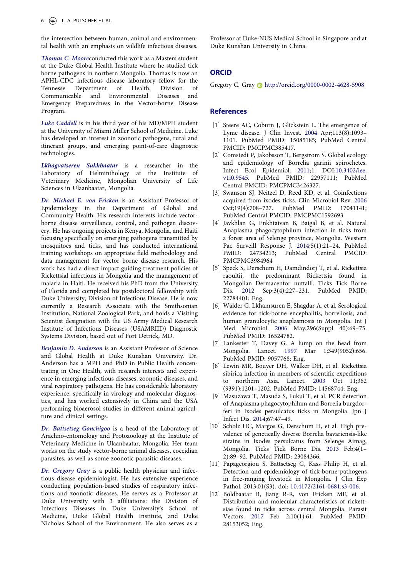the intersection between human, animal and environmental health with an emphasis on wildlife infectious diseases.

Thomas C. Mooreconducted this work as a Masters student at the Duke Global Health Institute where he studied tick borne pathogens in northern Mongolia. Thomas is now an APHL-CDC infectious disease laboratory fellow for the<br>Tennesse Department of Health, Division of Tennesse Department of Health, Division of Communicable and Environmental Diseases and Emergency Preparedness in the Vector-borne Disease Program.

Luke Caddell is in his third year of his MD/MPH student at the University of Miami Miller School of Medicine. Luke has developed an interest in zoonotic pathogens, rural and itinerant groups, and emerging point-of-care diagnostic technologies.

Lkhagvatseren Sukhbaatar is a researcher in the Laboratory of Helminthology at the Institute of Veterinary Medicine, Mongolian University of Life Sciences in Ulaanbaatar, Mongolia.

Dr. Michael E. von Fricken is an Assistant Professor of Epidemiology in the Department of Global and Community Health. His research interests include vectorborne disease surveillance, control, and pathogen discovery. He has ongoing projects in Kenya, Mongolia, and Haiti focusing specifically on emerging pathogens transmitted by mosquitoes and ticks, and has conducted international training workshops on appropriate field methodology and data management for vector borne disease research. His work has had a direct impact guiding treatment policies of Rickettsial infections in Mongolia and the management of malaria in Haiti. He received his PhD from the University of Florida and completed his postdoctoral fellowship with Duke University, Division of Infectious Disease. He is now currently a Research Associate with the Smithsonian Institution, National Zoological Park, and holds a Visiting Scientist designation with the US Army Medical Research Institute of Infectious Diseases (USAMRIID) Diagnostic Systems Division, based out of Fort Detrick, MD.

Benjamin D. Anderson is an Assistant Professor of Science and Global Health at Duke Kunshan University. Dr. Anderson has a MPH and PhD in Public Health concentrating in One Health, with research interests and experience in emerging infectious diseases, zoonotic diseases, and viral respiratory pathogens. He has considerable laboratory experience, specifically in virology and molecular diagnostics, and has worked extensively in China and the USA performing bioaerosol studies in different animal agriculture and clinical settings.

Dr. Battsetseg Gonchigoo is a head of the Laboratory of Arachno-entomology and Protozoology at the Institute of Veterinary Medicine in Ulaanbaatar, Mongolia. Her team works on the study vector-borne animal diseases, coccidian parasites, as well as some zoonotic parasitic diseases.

Dr. Gregory Gray is a public health physician and infectious disease epidemiologist. He has extensive experience conducting population-based studies of respiratory infections and zoonotic diseases. He serves as a Professor at Duke University with 3 affiliations: the Division of Infectious Diseases in Duke University's School of Medicine, Duke Global Health Institute, and Duke Nicholas School of the Environment. He also serves as a

Professor at Duke-NUS Medical School in Singapore and at Duke Kunshan University in China.

### **ORCID**

Gregory C. Gray http://orcid.org/0000-0002-4628-5908

### **References**

- <span id="page-5-0"></span>[1] Steere AC, Coburn J, Glickstein L. The emergence of Lyme disease. J Clin Invest. [2004](#page-0-3) Apr;113(8):1093– 1101. PubMed PMID: 15085185; PubMed Central PMCID: PMCPMC385417.
- <span id="page-5-8"></span>[2] Comstedt P, Jakobsson T, Bergstrom S. Global ecology and epidemiology of Borrelia garinii spirochetes. Infect Ecol Epidemiol. [2011](#page-3-0);1. DOI:[10.3402/iee.](https://doi.org/10.3402/iee.v1i0.9545) [v1i0.9545](https://doi.org/10.3402/iee.v1i0.9545). PubMed PMID: 22957111; PubMed Central PMCID: PMCPMC3426327.
- <span id="page-5-1"></span>[3] Swanson SJ, Neitzel D, Reed KD, et al. Coinfections acquired from ixodes ticks. Clin Microbiol Rev. [2006](#page-0-4) Oct;19(4):708–727. PubMed PMID: 17041141; PubMed Central PMCID: PMCPMC1592693.
- <span id="page-5-2"></span>[4] Javkhlan G, Enkhtaivan B, Baigal B, et al. Natural Anaplasma phagocytophilum infection in ticks from a forest area of Selenge province, Mongolia. Western Pac Surveill Response J. [2014](#page-0-5);5(1):21–24. PubMed PMID: 24734213; PubMed Central PMCID: PMCPMC3984964
- <span id="page-5-7"></span>[5] Speck S, Derschum H, Damdindorj T, et al. Rickettsia raoultii, the predominant Rickettsia found in Mongolian Dermacentor nuttalli. Ticks Tick Borne Dis. [2012](#page-3-1) Sep;3(4):227–231. PubMed PMID: 22784401; Eng.
- <span id="page-5-9"></span>[6] Walder G, Lkhamsuren E, Shagdar A, et al. Serological evidence for tick-borne encephalitis, borreliosis, and human granulocytic anaplasmosis in Mongolia. Int J Med Microbiol. [2006](#page-4-0) May;296(Suppl 40):69–75. PubMed PMID: 16524782.
- <span id="page-5-10"></span>[7] Lankester T, Davey G. A lump on the head from Mongolia. Lancet. [1997](#page-4-1) Mar 1;349(9052):656. PubMed PMID: 9057768; Eng.
- <span id="page-5-11"></span>[8] Lewin MR, Bouyer DH, Walker DH, et al. Rickettsia sibirica infection in members of scientific expeditions to northern Asia. Lancet. [2003](#page-4-1) Oct 11;362 (9391):1201–1202. PubMed PMID: 14568744; Eng.
- <span id="page-5-5"></span>[9] Masuzawa T, Masuda S, Fukui T, et al. PCR detection of Anaplasma phagocytophilum and Borrelia burgdorferi in Ixodes persulcatus ticks in Mongolia. Jpn J Infect Dis. [2014;](#page-3-2)67:47–49.
- <span id="page-5-6"></span>[10] Scholz HC, Margos G, Derschum H, et al. High prevalence of genetically diverse Borrelia bavariensis-like strains in Ixodes persulcatus from Selenge Aimag, Mongolia. Ticks Tick Borne Dis. [2013](#page-3-2) Feb;4(1– 2):89–92. PubMed PMID: 23084366.
- <span id="page-5-4"></span>[11] Papageorgiou S, Battsetseg G, Kass Philip H, et al. Detection and epidemiology of tick-borne pathogens in free-ranging livestock in Mongolia. J Clin Exp Pathol. 2013;01(S3). doi: [10.4172/2161-0681.s3-006.](https://doi.org/10.4172/2161-0681.s3-006)
- <span id="page-5-3"></span>[12] Boldbaatar B, Jiang R-R, von Fricken ME, et al. Distribution and molecular characteristics of rickettsiae found in ticks across central Mongolia. Parasit Vectors. [2017](#page-0-5) Feb 2;10(1):61. PubMed PMID: 28153052; Eng.